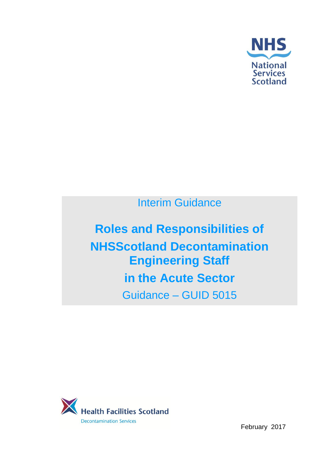

Interim Guidance

**Roles and Responsibilities of NHSScotland Decontamination Engineering Staff in the Acute Sector** Guidance – GUID 5015



February 2017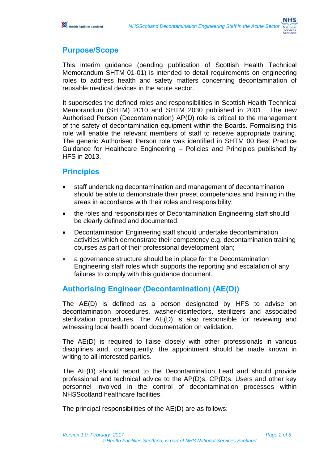# **Purpose/Scope**

This interim guidance (pending publication of Scottish Health Technical Memorandum SHTM 01-01) is intended to detail requirements on engineering roles to address health and safety matters concerning decontamination of reusable medical devices in the acute sector.

It supersedes the defined roles and responsibilities in Scottish Health Technical Memorandum (SHTM) 2010 and SHTM 2030 published in 2001. The new Authorised Person (Decontamination) AP(D) role is critical to the management of the safety of decontamination equipment within the Boards. Formalising this role will enable the relevant members of staff to receive appropriate training. The generic Authorised Person role was identified in SHTM 00 Best Practice Guidance for Healthcare Engineering – Policies and Principles published by HFS in 2013.

## **Principles**

- staff undertaking decontamination and management of decontamination should be able to demonstrate their preset competencies and training in the areas in accordance with their roles and responsibility;
- the roles and responsibilities of Decontamination Engineering staff should be clearly defined and documented;
- Decontamination Engineering staff should undertake decontamination activities which demonstrate their competency e.g. decontamination training courses as part of their professional development plan;
- a governance structure should be in place for the Decontamination Engineering staff roles which supports the reporting and escalation of any failures to comply with this guidance document*.*

## **Authorising Engineer (Decontamination) (AE(D))**

The AE(D) is defined as a person designated by HFS to advise on decontamination procedures, washer-disinfectors, sterilizers and associated sterilization procedures. The AE(D) is also responsible for reviewing and witnessing local health board documentation on validation.

The AE(D) is required to liaise closely with other professionals in various disciplines and, consequently, the appointment should be made known in writing to all interested parties.

The AE(D) should report to the Decontamination Lead and should provide professional and technical advice to the AP(D)s, CP(D)s, Users and other key personnel involved in the control of decontamination processes within NHSScotland healthcare facilities.

The principal responsibilities of the AE(D) are as follows: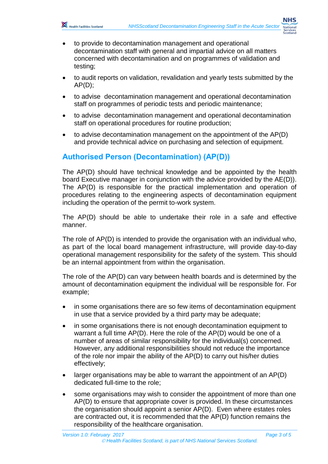

- to provide to decontamination management and operational decontamination staff with general and impartial advice on all matters concerned with decontamination and on programmes of validation and testing;
- to audit reports on validation, revalidation and yearly tests submitted by the  $AP(D)$ ;
- to advise decontamination management and operational decontamination staff on programmes of periodic tests and periodic maintenance;
- to advise decontamination management and operational decontamination staff on operational procedures for routine production;
- to advise decontamination management on the appointment of the AP(D) and provide technical advice on purchasing and selection of equipment.

## **Authorised Person (Decontamination) (AP(D))**

The AP(D) should have technical knowledge and be appointed by the health board Executive manager in conjunction with the advice provided by the AE(D)). The AP(D) is responsible for the practical implementation and operation of procedures relating to the engineering aspects of decontamination equipment including the operation of the permit to-work system.

The AP(D) should be able to undertake their role in a safe and effective manner.

The role of AP(D) is intended to provide the organisation with an individual who, as part of the local board management infrastructure, will provide day-to-day operational management responsibility for the safety of the system. This should be an internal appointment from within the organisation.

The role of the AP(D) can vary between health boards and is determined by the amount of decontamination equipment the individual will be responsible for. For example;

- in some organisations there are so few items of decontamination equipment in use that a service provided by a third party may be adequate;
- in some organisations there is not enough decontamination equipment to warrant a full time AP(D). Here the role of the AP(D) would be one of a number of areas of similar responsibility for the individual(s) concerned. However, any additional responsibilities should not reduce the importance of the role nor impair the ability of the AP(D) to carry out his/her duties effectively;
- larger organisations may be able to warrant the appointment of an AP(D) dedicated full-time to the role;
- some organisations may wish to consider the appointment of more than one AP(D) to ensure that appropriate cover is provided. In these circumstances the organisation should appoint a senior AP(D). Even where estates roles are contracted out, it is recommended that the AP(D) function remains the responsibility of the healthcare organisation.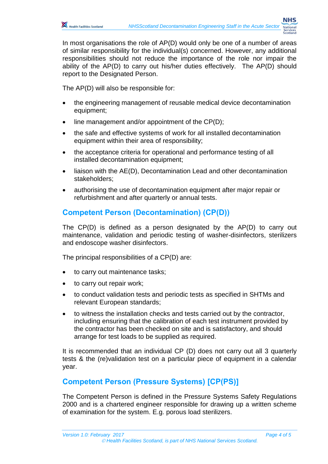

In most organisations the role of AP(D) would only be one of a number of areas of similar responsibility for the individual(s) concerned. However, any additional responsibilities should not reduce the importance of the role nor impair the ability of the AP(D) to carry out his/her duties effectively. The AP(D) should report to the Designated Person.

The AP(D) will also be responsible for:

- the engineering management of reusable medical device decontamination equipment;
- line management and/or appointment of the CP(D);
- the safe and effective systems of work for all installed decontamination equipment within their area of responsibility;
- the acceptance criteria for operational and performance testing of all installed decontamination equipment;
- liaison with the AE(D), Decontamination Lead and other decontamination stakeholders;
- authorising the use of decontamination equipment after major repair or refurbishment and after quarterly or annual tests.

### **Competent Person (Decontamination) (CP(D))**

The CP(D) is defined as a person designated by the AP(D) to carry out maintenance, validation and periodic testing of washer-disinfectors, sterilizers and endoscope washer disinfectors.

The principal responsibilities of a CP(D) are:

- to carry out maintenance tasks;
- to carry out repair work;
- to conduct validation tests and periodic tests as specified in SHTMs and relevant European standards;
- to witness the installation checks and tests carried out by the contractor, including ensuring that the calibration of each test instrument provided by the contractor has been checked on site and is satisfactory, and should arrange for test loads to be supplied as required.

It is recommended that an individual CP (D) does not carry out all 3 quarterly tests & the (re)validation test on a particular piece of equipment in a calendar year.

## **Competent Person (Pressure Systems) [CP(PS)]**

The Competent Person is defined in the Pressure Systems Safety Regulations 2000 and is a chartered engineer responsible for drawing up a written scheme of examination for the system. E.g. porous load sterilizers.